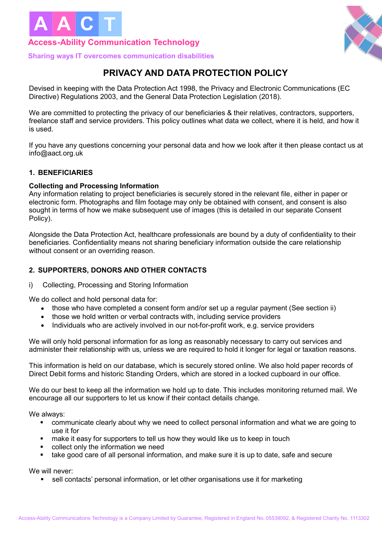

## **Access-Ability Communication Technology**



**Sharing ways IT overcomes communication disabilities**

# **PRIVACY AND DATA PROTECTION POLICY**

Devised in keeping with the Data Protection Act 1998, the Privacy and Electronic Communications (EC Directive) Regulations 2003, and the General Data Protection Legislation (2018).

We are committed to protecting the privacy of our beneficiaries & their relatives, contractors, supporters, freelance staff and service providers. This policy outlines what data we collect, where it is held, and how it is used.

If you have any questions concerning your personal data and how we look after it then please contact us at info@aact.org.uk

## **1. BENEFICIARIES**

## **Collecting and Processing Information**

Any information relating to project beneficiaries is securely stored in the relevant file, either in paper or electronic form. Photographs and film footage may only be obtained with consent, and consent is also sought in terms of how we make subsequent use of images (this is detailed in our separate Consent Policy).

Alongside the Data Protection Act, healthcare professionals are bound by a duty of confidentiality to their beneficiaries. Confidentiality means not sharing beneficiary information outside the care relationship without consent or an overriding reason.

## **2. SUPPORTERS, DONORS AND OTHER CONTACTS**

#### i) Collecting, Processing and Storing Information

We do collect and hold personal data for:

- those who have completed a consent form and/or set up a regular payment (See section ii)
- those we hold written or verbal contracts with, including service providers
- Individuals who are actively involved in our not-for-profit work, e.g. service providers

We will only hold personal information for as long as reasonably necessary to carry out services and administer their relationship with us, unless we are required to hold it longer for legal or taxation reasons.

This information is held on our database, which is securely stored online. We also hold paper records of Direct Debit forms and historic Standing Orders, which are stored in a locked cupboard in our office.

We do our best to keep all the information we hold up to date. This includes monitoring returned mail. We encourage all our supporters to let us know if their contact details change.

We always:

- ! communicate clearly about why we need to collect personal information and what we are going to use it for
- ! make it easy for supporters to tell us how they would like us to keep in touch
- collect only the information we need
- ! take good care of all personal information, and make sure it is up to date, safe and secure

We will never:

sell contacts' personal information, or let other organisations use it for marketing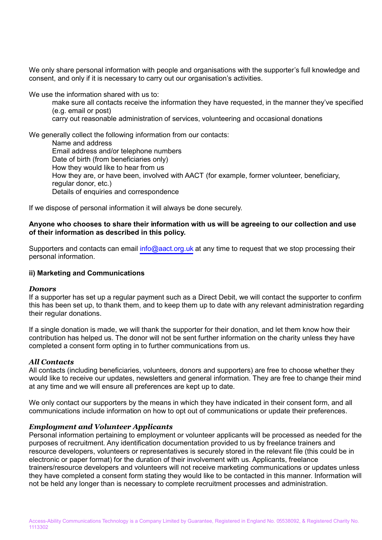We only share personal information with people and organisations with the supporter's full knowledge and consent, and only if it is necessary to carry out our organisation's activities.

We use the information shared with us to:

make sure all contacts receive the information they have requested, in the manner they've specified (e.g. email or post)

carry out reasonable administration of services, volunteering and occasional donations

We generally collect the following information from our contacts: Name and address Email address and/or telephone numbers Date of birth (from beneficiaries only) How they would like to hear from us How they are, or have been, involved with AACT (for example, former volunteer, beneficiary, regular donor, etc.) Details of enquiries and correspondence

If we dispose of personal information it will always be done securely.

#### **Anyone who chooses to share their information with us will be agreeing to our collection and use of their information as described in this policy.**

Supporters and contacts can email info@aact.org.uk at any time to request that we stop processing their personal information.

#### **ii) Marketing and Communications**

#### *Donors*

If a supporter has set up a regular payment such as a Direct Debit, we will contact the supporter to confirm this has been set up, to thank them, and to keep them up to date with any relevant administration regarding their regular donations.

If a single donation is made, we will thank the supporter for their donation, and let them know how their contribution has helped us. The donor will not be sent further information on the charity unless they have completed a consent form opting in to further communications from us.

#### *All Contacts*

All contacts (including beneficiaries, volunteers, donors and supporters) are free to choose whether they would like to receive our updates, newsletters and general information. They are free to change their mind at any time and we will ensure all preferences are kept up to date.

We only contact our supporters by the means in which they have indicated in their consent form, and all communications include information on how to opt out of communications or update their preferences.

#### *Employment and Volunteer Applicants*

Personal information pertaining to employment or volunteer applicants will be processed as needed for the purposes of recruitment. Any identification documentation provided to us by freelance trainers and resource developers, volunteers or representatives is securely stored in the relevant file (this could be in electronic or paper format) for the duration of their involvement with us. Applicants, freelance trainers/resource developers and volunteers will not receive marketing communications or updates unless they have completed a consent form stating they would like to be contacted in this manner. Information will not be held any longer than is necessary to complete recruitment processes and administration.